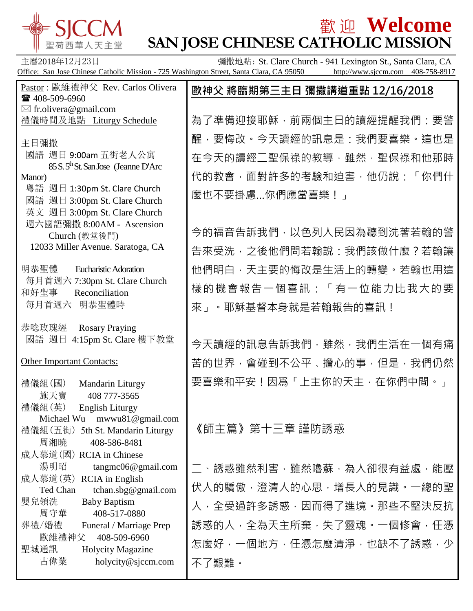

# $\frac{1}{2}$   $\frac{1}{2}$   $\frac{1}{2}$   $\frac{1}{2}$   $\frac{1}{2}$   $\frac{1}{2}$   $\frac{1}{2}$   $\frac{1}{2}$   $\frac{1}{2}$   $\frac{1}{2}$   $\frac{1}{2}$   $\frac{1}{2}$   $\frac{1}{2}$   $\frac{1}{2}$   $\frac{1}{2}$   $\frac{1}{2}$   $\frac{1}{2}$   $\frac{1}{2}$   $\frac{1}{2}$   $\frac{1}{2}$   $\frac{1}{2}$   $\frac{1}{2}$ **SAN JOSE CHINESE CATHOLIC MISSION**

| 主曆2018年12月23日<br>Office: San Jose Chinese Catholic Mission - 725 Washington Street, Santa Clara, CA 95050                                                                                   | 彌撒地點: St. Clare Church - 941 Lexington St., Santa Clara, CA<br>http://www.sjccm.com 408-758-8917   |
|---------------------------------------------------------------------------------------------------------------------------------------------------------------------------------------------|----------------------------------------------------------------------------------------------------|
| Pastor: 歐維禮神父 Rev. Carlos Olivera<br>☎ 408-509-6960                                                                                                                                         | 歐神父 將臨期第三主日 彌撒講道重點 12/16/2018                                                                      |
| $\boxtimes$ fr.olivera@gmail.com<br>禮儀時間及地點 Liturgy Schedule                                                                                                                                | 為了準備迎接耶穌,前兩個主日的讀經提醒我們:要警                                                                           |
| 主日彌撒<br>國語 週日 9:00am 五街老人公寓<br>85 S.5 <sup>th</sup> St. San Jose (Jeanne D'Arc<br>Manor)<br>粵語 週日 1:30pm St. Clare Church<br>國語 週日 3:00pm St. Clare Church<br>英文 週日 3:00pm St. Clare Church | 醒,要悔改。今天讀經的訊息是:我們要喜樂。這也是<br>在今天的讀經二聖保祿的教導,雖然,聖保祿和他那時<br>代的教會,面對許多的考驗和迫害,他仍說:「你們什<br>麼也不要掛慮你們應當喜樂!」 |
| 週六國語彌撒 8:00AM - Ascension<br>Church (教堂後門)<br>12033 Miller Avenue. Saratoga, CA                                                                                                             | 今的福音告訴我們,以色列人民因為聽到洗著若翰的警<br>告來受洗, 之後他們問若翰說: 我們該做什麼 ? 若翰讓                                           |
| 明恭聖體<br><b>Eucharistic Adoration</b><br>每月首週六 7:30pm St. Clare Church<br>和好聖事<br>Reconciliation<br>每月首週六 明恭聖體時                                                                              | 他們明白,天主要的悔改是生活上的轉變。若翰也用這<br>樣的機會報告一個喜訊:「有一位能力比我大的要<br>來」。耶穌基督本身就是若翰報告的喜訊!                          |
| 恭唸玫瑰經<br><b>Rosary Praying</b><br>國語 週日 4:15pm St. Clare 樓下教堂                                                                                                                               | 今天讀經的訊息告訴我們,雖然,我們生活在一個有痛                                                                           |
| <b>Other Important Contacts:</b>                                                                                                                                                            | 苦的世界,會碰到不公平、擔心的事,但是,我們仍然                                                                           |
| 禮儀組(國)<br>Mandarin Liturgy<br>施天寶<br>408 777-3565<br>禮儀組(英)<br><b>English Liturgy</b><br>Michael Wu mwwu81@gmail.com                                                                        | 要喜樂和平安!因爲「上主你的天主, 在你們中間。」                                                                          |
| 禮儀組 (五街) 5th St. Mandarin Liturgy<br>周湘曉<br>408-586-8481<br>成人慕道(國) RCIA in Chinese                                                                                                         | 《師主篇》第十三章 謹防誘惑                                                                                     |
| 湯明昭<br>tangmc06@gmail.com<br>成人慕道(英) RCIA in English                                                                                                                                        | 二、誘惑雖然利害,雖然嚕蘇,為人卻很有益處,能壓                                                                           |
| Ted Chan<br>tchan.sbg@gmail.com<br>嬰兒領洗<br><b>Baby Baptism</b>                                                                                                                              | 伏人的驕傲,澄清人的心思,增長人的見識。一總的聖                                                                           |
| 周守華<br>408-517-0880<br>葬禮/婚禮                                                                                                                                                                | 人,全受過許多誘惑,因而得了進境。那些不堅決反抗<br>誘惑的人,全為天主所棄,失了靈魂。一個修會,任憑                                               |
| Funeral / Marriage Prep<br>歐維禮神父<br>408-509-6960                                                                                                                                            | 怎麼好,一個地方,任憑怎麼清淨,也缺不了誘惑,少                                                                           |
| 聖城通訊<br><b>Holycity Magazine</b><br>古偉業<br>holycity@sjccm.com                                                                                                                               | 不了艱難。                                                                                              |